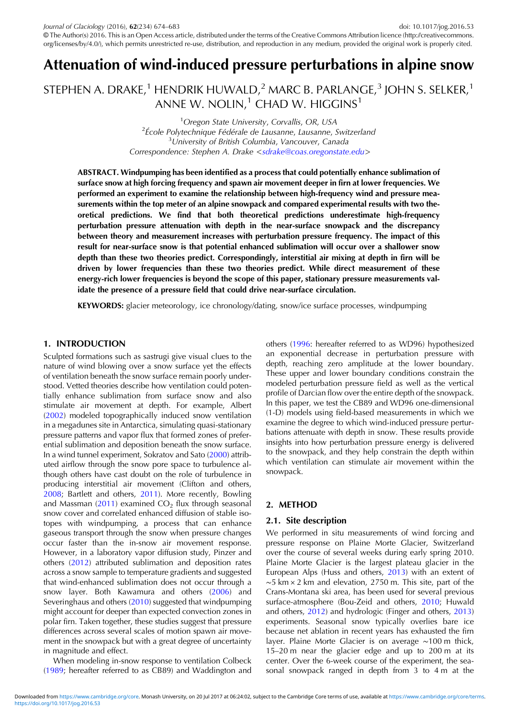# Attenuation of wind-induced pressure perturbations in alpine snow

STEPHEN A. DRAKE,<sup>1</sup> HENDRIK HUWALD,<sup>2</sup> MARC B. PARLANGE,<sup>3</sup> JOHN S. SELKER,<sup>1</sup> ANNE W. NOLIN, $1$  CHAD W. HIGGINS<sup>1</sup>

> <sup>1</sup> Oregon State University, Corvallis, OR, USA<br><sup>2</sup> École Polytechnique Eédérale de Lausanne Jausanne  $2\epsilon$ cole Polytechnique Fédérale de Lausanne, Lausanne, Switzerland <sup>3</sup> University of British Columbia, Vancouver, Canada Correspondence: Stephen A. Drake <[sdrake@coas.oregonstate.edu](mailto:sdrake@coas.oregonstate.edu)>

ABSTRACT. Windpumping has been identified as a process that could potentially enhance sublimation of surface snow at high forcing frequency and spawn air movement deeper in firn at lower frequencies. We performed an experiment to examine the relationship between high-frequency wind and pressure measurements within the top meter of an alpine snowpack and compared experimental results with two theoretical predictions. We find that both theoretical predictions underestimate high-frequency perturbation pressure attenuation with depth in the near-surface snowpack and the discrepancy between theory and measurement increases with perturbation pressure frequency. The impact of this result for near-surface snow is that potential enhanced sublimation will occur over a shallower snow depth than these two theories predict. Correspondingly, interstitial air mixing at depth in firn will be driven by lower frequencies than these two theories predict. While direct measurement of these energy-rich lower frequencies is beyond the scope of this paper, stationary pressure measurements validate the presence of a pressure field that could drive near-surface circulation.

**KEYWORDS:** glacier meteorology, ice chronology/dating, snow/ice surface processes, windpumping

# 1. INTRODUCTION

Sculpted formations such as sastrugi give visual clues to the nature of wind blowing over a snow surface yet the effects of ventilation beneath the snow surface remain poorly understood. Vetted theories describe how ventilation could potentially enhance sublimation from surface snow and also stimulate air movement at depth. For example, Albert ([2002\)](#page-9-0) modeled topographically induced snow ventilation in a megadunes site in Antarctica, simulating quasi-stationary pressure patterns and vapor flux that formed zones of preferential sublimation and deposition beneath the snow surface. In a wind tunnel experiment, Sokratov and Sato [\(2000](#page-9-0)) attributed airflow through the snow pore space to turbulence although others have cast doubt on the role of turbulence in producing interstitial air movement (Clifton and others, [2008](#page-9-0); Bartlett and others, [2011](#page-9-0)). More recently, Bowling and Massman [\(2011](#page-9-0)) examined  $CO<sub>2</sub>$  flux through seasonal snow cover and correlated enhanced diffusion of stable isotopes with windpumping, a process that can enhance gaseous transport through the snow when pressure changes occur faster than the in-snow air movement response. However, in a laboratory vapor diffusion study, Pinzer and others [\(2012](#page-9-0)) attributed sublimation and deposition rates across a snow sample to temperature gradients and suggested that wind-enhanced sublimation does not occur through a snow layer. Both Kawamura and others ([2006\)](#page-9-0) and Severinghaus and others ([2010\)](#page-9-0) suggested that windpumping might account for deeper than expected convection zones in polar firn. Taken together, these studies suggest that pressure differences across several scales of motion spawn air movement in the snowpack but with a great degree of uncertainty in magnitude and effect.

When modeling in-snow response to ventilation Colbeck ([1989;](#page-9-0) hereafter referred to as CB89) and Waddington and others ([1996:](#page-9-0) hereafter referred to as WD96) hypothesized an exponential decrease in perturbation pressure with depth, reaching zero amplitude at the lower boundary. These upper and lower boundary conditions constrain the modeled perturbation pressure field as well as the vertical profile of Darcian flow over the entire depth of the snowpack. In this paper, we test the CB89 and WD96 one-dimensional (1-D) models using field-based measurements in which we examine the degree to which wind-induced pressure perturbations attenuate with depth in snow. These results provide insights into how perturbation pressure energy is delivered to the snowpack, and they help constrain the depth within which ventilation can stimulate air movement within the snowpack.

# 2. METHOD

# 2.1. Site description

We performed in situ measurements of wind forcing and pressure response on Plaine Morte Glacier, Switzerland over the course of several weeks during early spring 2010. Plaine Morte Glacier is the largest plateau glacier in the European Alps (Huss and others, [2013](#page-9-0)) with an extent of ∼5 km × 2 km and elevation, 2750 m. This site, part of the Crans-Montana ski area, has been used for several previous surface-atmosphere (Bou-Zeid and others, [2010](#page-9-0); Huwald and others, [2012\)](#page-9-0) and hydrologic (Finger and others, [2013\)](#page-9-0) experiments. Seasonal snow typically overlies bare ice because net ablation in recent years has exhausted the firn layer. Plaine Morte Glacier is on average ∼100 m thick, 15–20 m near the glacier edge and up to 200 m at its center. Over the 6-week course of the experiment, the seasonal snowpack ranged in depth from 3 to 4 m at the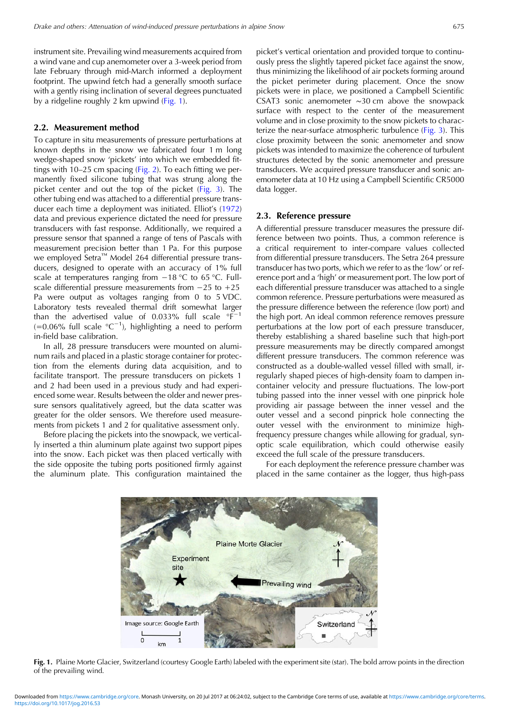instrument site. Prevailing wind measurements acquired from a wind vane and cup anemometer over a 3-week period from late February through mid-March informed a deployment footprint. The upwind fetch had a generally smooth surface with a gently rising inclination of several degrees punctuated by a ridgeline roughly 2 km upwind (Fig. 1).

## 2.2. Measurement method

To capture in situ measurements of pressure perturbations at known depths in the snow we fabricated four 1 m long wedge-shaped snow 'pickets' into which we embedded fittings with 10–25 cm spacing [\(Fig. 2\)](#page-2-0). To each fitting we permanently fixed silicone tubing that was strung along the picket center and out the top of the picket ([Fig. 3](#page-2-0)). The other tubing end was attached to a differential pressure transducer each time a deployment was initiated. Elliot's ([1972\)](#page-9-0) data and previous experience dictated the need for pressure transducers with fast response. Additionally, we required a pressure sensor that spanned a range of tens of Pascals with measurement precision better than 1 Pa. For this purpose we employed Setra<sup>™</sup> Model 264 differential pressure transducers, designed to operate with an accuracy of 1% full scale at temperatures ranging from −18 °C to 65 °C. Fullscale differential pressure measurements from −25 to +25 Pa were output as voltages ranging from 0 to 5 VDC. Laboratory tests revealed thermal drift somewhat larger than the advertised value of 0.033% full scale  $\textdegree F^{-1}$  $(=0.06\%$  full scale °C<sup>-1</sup>), highlighting a need to perform in-field base calibration.

In all, 28 pressure transducers were mounted on aluminum rails and placed in a plastic storage container for protection from the elements during data acquisition, and to facilitate transport. The pressure transducers on pickets 1 and 2 had been used in a previous study and had experienced some wear. Results between the older and newer pressure sensors qualitatively agreed, but the data scatter was greater for the older sensors. We therefore used measurements from pickets 1 and 2 for qualitative assessment only.

Before placing the pickets into the snowpack, we vertically inserted a thin aluminum plate against two support pipes into the snow. Each picket was then placed vertically with the side opposite the tubing ports positioned firmly against the aluminum plate. This configuration maintained the

picket's vertical orientation and provided torque to continuously press the slightly tapered picket face against the snow, thus minimizing the likelihood of air pockets forming around the picket perimeter during placement. Once the snow pickets were in place, we positioned a Campbell Scientific CSAT3 sonic anemometer ∼30 cm above the snowpack surface with respect to the center of the measurement volume and in close proximity to the snow pickets to characterize the near-surface atmospheric turbulence [\(Fig. 3](#page-2-0)). This close proximity between the sonic anemometer and snow pickets was intended to maximize the coherence of turbulent structures detected by the sonic anemometer and pressure transducers. We acquired pressure transducer and sonic anemometer data at 10 Hz using a Campbell Scientific CR5000 data logger.

#### 2.3. Reference pressure

A differential pressure transducer measures the pressure difference between two points. Thus, a common reference is a critical requirement to inter-compare values collected from differential pressure transducers. The Setra 264 pressure transducer has two ports, which we refer to as the 'low' or reference port and a 'high' or measurement port. The low port of each differential pressure transducer was attached to a single common reference. Pressure perturbations were measured as the pressure difference between the reference (low port) and the high port. An ideal common reference removes pressure perturbations at the low port of each pressure transducer, thereby establishing a shared baseline such that high-port pressure measurements may be directly compared amongst different pressure transducers. The common reference was constructed as a double-walled vessel filled with small, irregularly shaped pieces of high-density foam to dampen incontainer velocity and pressure fluctuations. The low-port tubing passed into the inner vessel with one pinprick hole providing air passage between the inner vessel and the outer vessel and a second pinprick hole connecting the outer vessel with the environment to minimize highfrequency pressure changes while allowing for gradual, synoptic scale equilibration, which could otherwise easily exceed the full scale of the pressure transducers.

For each deployment the reference pressure chamber was placed in the same container as the logger, thus high-pass



Fig. 1. Plaine Morte Glacier, Switzerland (courtesy Google Earth) labeled with the experiment site (star). The bold arrow points in the direction of the prevailing wind.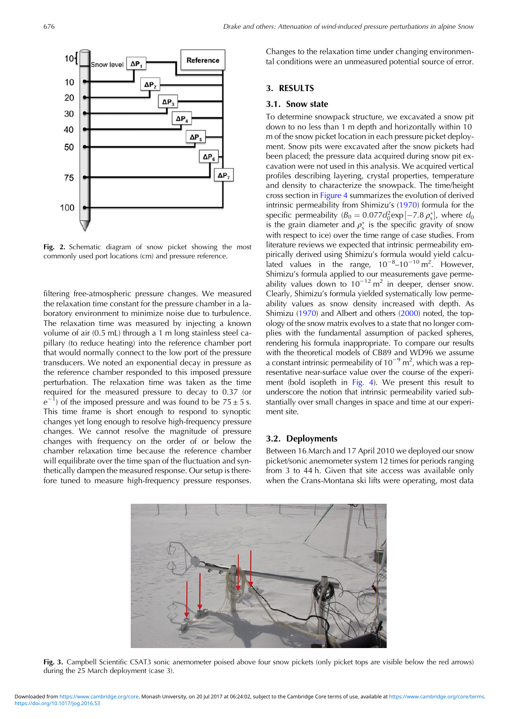<span id="page-2-0"></span>

Fig. 2. Schematic diagram of snow picket showing the most commonly used port locations (cm) and pressure reference.

filtering free-atmospheric pressure changes. We measured the relaxation time constant for the pressure chamber in a laboratory environment to minimize noise due to turbulence. The relaxation time was measured by injecting a known volume of air (0.5 mL) through a 1 m long stainless steel capillary (to reduce heating) into the reference chamber port that would normally connect to the low port of the pressure transducers. We noted an exponential decay in pressure as the reference chamber responded to this imposed pressure perturbation. The relaxation time was taken as the time required for the measured pressure to decay to 0.37 (or  $\rho^-$ <sup>1</sup>) of the imposed pressure and was found to be  $75 \pm 5$  s. This time frame is short enough to respond to synoptic changes yet long enough to resolve high-frequency pressure changes. We cannot resolve the magnitude of pressure changes with frequency on the order of or below the chamber relaxation time because the reference chamber will equilibrate over the time span of the fluctuation and synthetically dampen the measured response. Our setup is therefore tuned to measure high-frequency pressure responses.

Changes to the relaxation time under changing environmental conditions were an unmeasured potential source of error.

# 3. RESULTS

# 3.1. Snow state

To determine snowpack structure, we excavated a snow pit down to no less than 1 m depth and horizontally within 10 m of the snow picket location in each pressure picket deployment. Snow pits were excavated after the snow pickets had been placed; the pressure data acquired during snow pit excavation were not used in this analysis. We acquired vertical profiles describing layering, crystal properties, temperature and density to characterize the snowpack. The time/height cross section in [Figure 4](#page-3-0) summarizes the evolution of derived intrinsic permeability from Shimizu's ([1970\)](#page-9-0) formula for the specific permeability  $(B_0 = 0.077d_0^2 \exp[-7.8 \rho_s^*]$ , where  $d_0$ is the grain diameter and  $\rho_s^*$  is the specific gravity of snow with respect to ice) over the time range of case studies. From literature reviews we expected that intrinsic permeability empirically derived using Shimizu's formula would yield calculated values in the range,  $10^{-8}$ – $10^{-10}$  m<sup>2</sup>. However, Shimizu's formula applied to our measurements gave permeability values down to  $10^{-12}$  m<sup>2</sup> in deeper, denser snow. Clearly, Shimizu's formula yielded systematically low permeability values as snow density increased with depth. As Shimizu ([1970](#page-9-0)) and Albert and others ([2000](#page-9-0)) noted, the topology of the snow matrix evolves to a state that no longer complies with the fundamental assumption of packed spheres, rendering his formula inappropriate. To compare our results with the theoretical models of CB89 and WD96 we assume a constant intrinsic permeability of  $10^{-9}$  m<sup>2</sup>, which was a representative near-surface value over the course of the experiment (bold isopleth in [Fig. 4\)](#page-3-0). We present this result to underscore the notion that intrinsic permeability varied substantially over small changes in space and time at our experiment site.

## 3.2. Deployments

Between 16 March and 17 April 2010 we deployed our snow picket/sonic anemometer system 12 times for periods ranging from 3 to 44 h. Given that site access was available only when the Crans-Montana ski lifts were operating, most data



Fig. 3. Campbell Scientific CSAT3 sonic anemometer poised above four snow pickets (only picket tops are visible below the red arrows) during the 25 March deployment (case 3).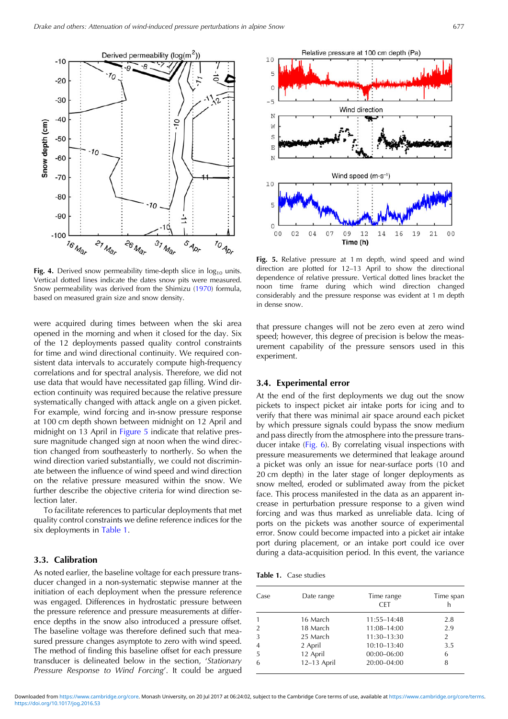<span id="page-3-0"></span>

Fig. 4. Derived snow permeability time-depth slice in  $log_{10}$  units. Vertical dotted lines indicate the dates snow pits were measured. Snow permeability was derived from the Shimizu ([1970\)](#page-9-0) formula, based on measured grain size and snow density.

were acquired during times between when the ski area opened in the morning and when it closed for the day. Six of the 12 deployments passed quality control constraints for time and wind directional continuity. We required consistent data intervals to accurately compute high-frequency correlations and for spectral analysis. Therefore, we did not use data that would have necessitated gap filling. Wind direction continuity was required because the relative pressure systematically changed with attack angle on a given picket. For example, wind forcing and in-snow pressure response at 100 cm depth shown between midnight on 12 April and midnight on 13 April in Figure 5 indicate that relative pressure magnitude changed sign at noon when the wind direction changed from southeasterly to northerly. So when the wind direction varied substantially, we could not discriminate between the influence of wind speed and wind direction on the relative pressure measured within the snow. We further describe the objective criteria for wind direction selection later.

To facilitate references to particular deployments that met quality control constraints we define reference indices for the six deployments in Table 1.

## 3.3. Calibration

As noted earlier, the baseline voltage for each pressure transducer changed in a non-systematic stepwise manner at the initiation of each deployment when the pressure reference was engaged. Differences in hydrostatic pressure between the pressure reference and pressure measurements at difference depths in the snow also introduced a pressure offset. The baseline voltage was therefore defined such that measured pressure changes asymptote to zero with wind speed. The method of finding this baseline offset for each pressure transducer is delineated below in the section, 'Stationary Pressure Response to Wind Forcing'. It could be argued



Fig. 5. Relative pressure at 1 m depth, wind speed and wind direction are plotted for 12–13 April to show the directional dependence of relative pressure. Vertical dotted lines bracket the noon time frame during which wind direction changed considerably and the pressure response was evident at 1 m depth in dense snow.

that pressure changes will not be zero even at zero wind speed; however, this degree of precision is below the measurement capability of the pressure sensors used in this experiment.

#### 3.4. Experimental error

At the end of the first deployments we dug out the snow pickets to inspect picket air intake ports for icing and to verify that there was minimal air space around each picket by which pressure signals could bypass the snow medium and pass directly from the atmosphere into the pressure transducer intake ([Fig. 6](#page-4-0)). By correlating visual inspections with pressure measurements we determined that leakage around a picket was only an issue for near-surface ports (10 and 20 cm depth) in the later stage of longer deployments as snow melted, eroded or sublimated away from the picket face. This process manifested in the data as an apparent increase in perturbation pressure response to a given wind forcing and was thus marked as unreliable data. Icing of ports on the pickets was another source of experimental error. Snow could become impacted into a picket air intake port during placement, or an intake port could ice over during a data-acquisition period. In this event, the variance

| Table 1. |  | Case studies |  |
|----------|--|--------------|--|
|          |  |              |  |

| Case          | Date range  | Time range<br><b>CFT</b> | Time span      |
|---------------|-------------|--------------------------|----------------|
|               | 16 March    | 11:55-14:48              | 2.8            |
| $\mathcal{P}$ | 18 March    | 11:08-14:00              | 2.9            |
| 3             | 25 March    | 11:30-13:30              | $\overline{2}$ |
| 4             | 2 April     | $10:10 - 13:40$          | 3.5            |
| 5             | 12 April    | $00:00 - 06:00$          | 6              |
| 6             | 12-13 April | 20:00-04:00              | 8              |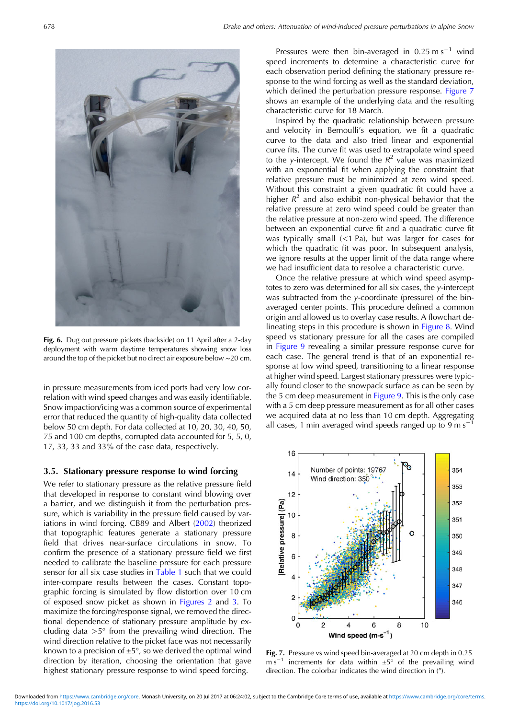<span id="page-4-0"></span>

Fig. 6. Dug out pressure pickets (backside) on 11 April after a 2-day deployment with warm daytime temperatures showing snow loss around the top of the picket but no direct air exposure below ∼20 cm.

in pressure measurements from iced ports had very low correlation with wind speed changes and was easily identifiable. Snow impaction/icing was a common source of experimental error that reduced the quantity of high-quality data collected below 50 cm depth. For data collected at 10, 20, 30, 40, 50, 75 and 100 cm depths, corrupted data accounted for 5, 5, 0, 17, 33, 33 and 33% of the case data, respectively.

### 3.5. Stationary pressure response to wind forcing

We refer to stationary pressure as the relative pressure field that developed in response to constant wind blowing over a barrier, and we distinguish it from the perturbation pressure, which is variability in the pressure field caused by variations in wind forcing. CB89 and Albert [\(2002](#page-9-0)) theorized that topographic features generate a stationary pressure field that drives near-surface circulations in snow. To confirm the presence of a stationary pressure field we first needed to calibrate the baseline pressure for each pressure sensor for all six case studies in [Table 1](#page-3-0) such that we could inter-compare results between the cases. Constant topographic forcing is simulated by flow distortion over 10 cm of exposed snow picket as shown in [Figures 2](#page-2-0) and [3.](#page-2-0) To maximize the forcing/response signal, we removed the directional dependence of stationary pressure amplitude by excluding data  $>5^\circ$  from the prevailing wind direction. The wind direction relative to the picket face was not necessarily known to a precision of  $\pm 5^{\circ}$ , so we derived the optimal wind direction by iteration, choosing the orientation that gave highest stationary pressure response to wind speed forcing.

Pressures were then bin-averaged in  $0.25 \text{ m s}^{-1}$  wind speed increments to determine a characteristic curve for each observation period defining the stationary pressure response to the wind forcing as well as the standard deviation, which defined the perturbation pressure response. Figure 7 shows an example of the underlying data and the resulting characteristic curve for 18 March.

Inspired by the quadratic relationship between pressure and velocity in Bernoulli's equation, we fit a quadratic curve to the data and also tried linear and exponential curve fits. The curve fit was used to extrapolate wind speed to the y-intercept. We found the  $R^2$  value was maximized with an exponential fit when applying the constraint that relative pressure must be minimized at zero wind speed. Without this constraint a given quadratic fit could have a higher  $R^2$  and also exhibit non-physical behavior that the relative pressure at zero wind speed could be greater than the relative pressure at non-zero wind speed. The difference between an exponential curve fit and a quadratic curve fit was typically small (<1 Pa), but was larger for cases for which the quadratic fit was poor. In subsequent analysis, we ignore results at the upper limit of the data range where we had insufficient data to resolve a characteristic curve.

Once the relative pressure at which wind speed asymptotes to zero was determined for all six cases, the y-intercept was subtracted from the y-coordinate (pressure) of the binaveraged center points. This procedure defined a common origin and allowed us to overlay case results. A flowchart delineating steps in this procedure is shown in [Figure 8.](#page-5-0) Wind speed vs stationary pressure for all the cases are compiled in [Figure 9](#page-5-0) revealing a similar pressure response curve for each case. The general trend is that of an exponential response at low wind speed, transitioning to a linear response at higher wind speed. Largest stationary pressures were typically found closer to the snowpack surface as can be seen by the 5 cm deep measurement in [Figure 9.](#page-5-0) This is the only case with a 5 cm deep pressure measurement as for all other cases we acquired data at no less than 10 cm depth. Aggregating all cases, 1 min averaged wind speeds ranged up to 9 m s<sup>-1</sup>



Fig. 7. Pressure vs wind speed bin-averaged at 20 cm depth in 0.25 m s<sup>-1</sup> increments for data within  $\pm 5^{\circ}$  of the prevailing wind direction. The colorbar indicates the wind direction in (°).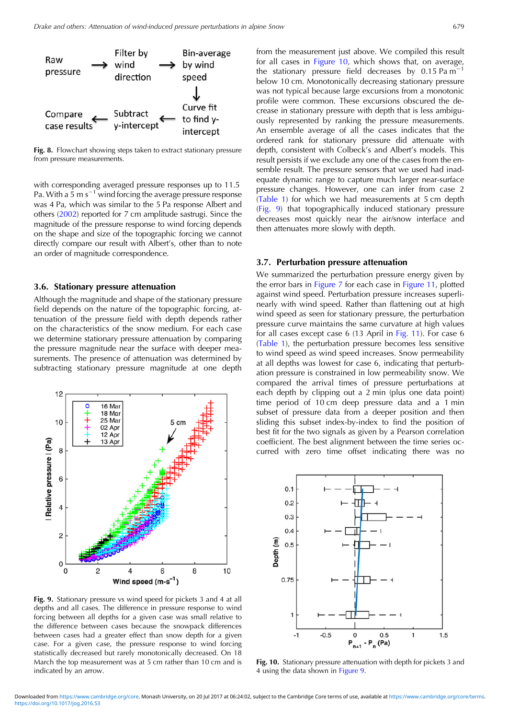<span id="page-5-0"></span>

Fig. 8. Flowchart showing steps taken to extract stationary pressure from pressure measurements.

with corresponding averaged pressure responses up to 11.5 Pa. With a 5 m  $s^{-1}$  wind forcing the average pressure response was 4 Pa, which was similar to the 5 Pa response Albert and others [\(2002\)](#page-9-0) reported for 7 cm amplitude sastrugi. Since the magnitude of the pressure response to wind forcing depends on the shape and size of the topographic forcing we cannot directly compare our result with Albert's, other than to note an order of magnitude correspondence.

#### 3.6. Stationary pressure attenuation

Although the magnitude and shape of the stationary pressure field depends on the nature of the topographic forcing, attenuation of the pressure field with depth depends rather on the characteristics of the snow medium. For each case we determine stationary pressure attenuation by comparing the pressure magnitude near the surface with deeper measurements. The presence of attenuation was determined by subtracting stationary pressure magnitude at one depth



Fig. 9. Stationary pressure vs wind speed for pickets 3 and 4 at all depths and all cases. The difference in pressure response to wind forcing between all depths for a given case was small relative to the difference between cases because the snowpack differences between cases had a greater effect than snow depth for a given case. For a given case, the pressure response to wind forcing statistically decreased but rarely monotonically decreased. On 18 March the top measurement was at 5 cm rather than 10 cm and is indicated by an arrow.

from the measurement just above. We compiled this result for all cases in Figure 10, which shows that, on average, the stationary pressure field decreases by 0.15 Pa m−<sup>1</sup> below 10 cm. Monotonically decreasing stationary pressure was not typical because large excursions from a monotonic profile were common. These excursions obscured the decrease in stationary pressure with depth that is less ambiguously represented by ranking the pressure measurements. An ensemble average of all the cases indicates that the ordered rank for stationary pressure did attenuate with depth, consistent with Colbeck's and Albert's models. This result persists if we exclude any one of the cases from the ensemble result. The pressure sensors that we used had inadequate dynamic range to capture much larger near-surface pressure changes. However, one can infer from case 2 [\(Table 1](#page-3-0)) for which we had measurements at 5 cm depth (Fig. 9) that topographically induced stationary pressure decreases most quickly near the air/snow interface and then attenuates more slowly with depth.

#### 3.7. Perturbation pressure attenuation

We summarized the perturbation pressure energy given by the error bars in [Figure 7](#page-4-0) for each case in [Figure 11,](#page-6-0) plotted against wind speed. Perturbation pressure increases superlinearly with wind speed. Rather than flattening out at high wind speed as seen for stationary pressure, the perturbation pressure curve maintains the same curvature at high values for all cases except case 6 (13 April in [Fig. 11\)](#page-6-0). For case 6 [\(Table 1\)](#page-3-0), the perturbation pressure becomes less sensitive to wind speed as wind speed increases. Snow permeability at all depths was lowest for case 6, indicating that perturbation pressure is constrained in low permeability snow. We compared the arrival times of pressure perturbations at each depth by clipping out a 2 min (plus one data point) time period of 10 cm deep pressure data and a 1 min subset of pressure data from a deeper position and then sliding this subset index-by-index to find the position of best fit for the two signals as given by a Pearson correlation coefficient. The best alignment between the time series occurred with zero time offset indicating there was no



Fig. 10. Stationary pressure attenuation with depth for pickets 3 and 4 using the data shown in Figure 9.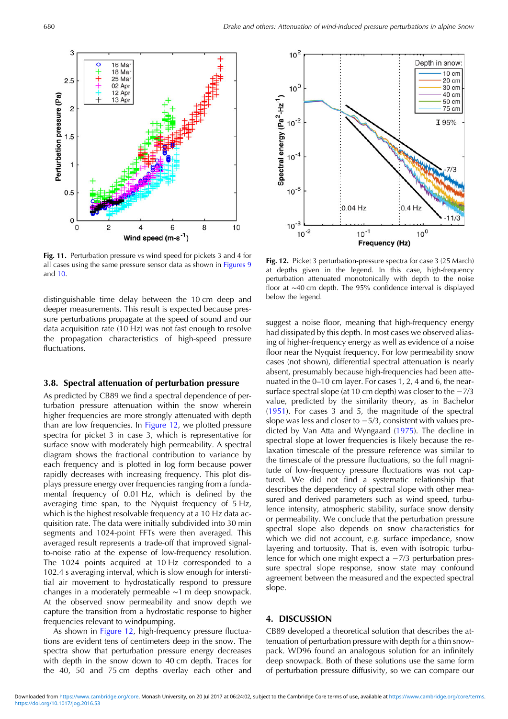<span id="page-6-0"></span>

Fig. 11. Perturbation pressure vs wind speed for pickets 3 and 4 for all cases using the same pressure sensor data as shown in [Figures 9](#page-5-0) and [10.](#page-5-0)

distinguishable time delay between the 10 cm deep and deeper measurements. This result is expected because pressure perturbations propagate at the speed of sound and our data acquisition rate (10 Hz) was not fast enough to resolve the propagation characteristics of high-speed pressure fluctuations.

## 3.8. Spectral attenuation of perturbation pressure

As predicted by CB89 we find a spectral dependence of perturbation pressure attenuation within the snow wherein higher frequencies are more strongly attenuated with depth than are low frequencies. In Figure 12, we plotted pressure spectra for picket 3 in case 3, which is representative for surface snow with moderately high permeability. A spectral diagram shows the fractional contribution to variance by each frequency and is plotted in log form because power rapidly decreases with increasing frequency. This plot displays pressure energy over frequencies ranging from a fundamental frequency of 0.01 Hz, which is defined by the averaging time span, to the Nyquist frequency of 5 Hz, which is the highest resolvable frequency at a 10 Hz data acquisition rate. The data were initially subdivided into 30 min segments and 1024-point FFTs were then averaged. This averaged result represents a trade-off that improved signalto-noise ratio at the expense of low-frequency resolution. The 1024 points acquired at 10 Hz corresponded to a 102.4 s averaging interval, which is slow enough for interstitial air movement to hydrostatically respond to pressure changes in a moderately permeable ∼1 m deep snowpack. At the observed snow permeability and snow depth we capture the transition from a hydrostatic response to higher frequencies relevant to windpumping.

As shown in Figure 12, high-frequency pressure fluctuations are evident tens of centimeters deep in the snow. The spectra show that perturbation pressure energy decreases with depth in the snow down to 40 cm depth. Traces for the 40, 50 and 75 cm depths overlay each other and



Fig. 12. Picket 3 perturbation-pressure spectra for case 3 (25 March) at depths given in the legend. In this case, high-frequency perturbation attenuated monotonically with depth to the noise floor at ∼40 cm depth. The 95% confidence interval is displayed below the legend.

suggest a noise floor, meaning that high-frequency energy had dissipated by this depth. In most cases we observed aliasing of higher-frequency energy as well as evidence of a noise floor near the Nyquist frequency. For low permeability snow cases (not shown), differential spectral attenuation is nearly absent, presumably because high-frequencies had been attenuated in the 0–10 cm layer. For cases 1, 2, 4 and 6, the nearsurface spectral slope (at 10 cm depth) was closer to the −7/3 value, predicted by the similarity theory, as in Bachelor [\(1951](#page-9-0)). For cases 3 and 5, the magnitude of the spectral slope was less and closer to −5/3, consistent with values predicted by Van Atta and Wyngaard [\(1975](#page-9-0)). The decline in spectral slope at lower frequencies is likely because the relaxation timescale of the pressure reference was similar to the timescale of the pressure fluctuations, so the full magnitude of low-frequency pressure fluctuations was not captured. We did not find a systematic relationship that describes the dependency of spectral slope with other measured and derived parameters such as wind speed, turbulence intensity, atmospheric stability, surface snow density or permeability. We conclude that the perturbation pressure spectral slope also depends on snow characteristics for which we did not account, e.g. surface impedance, snow layering and tortuosity. That is, even with isotropic turbulence for which one might expect a −7/3 perturbation pressure spectral slope response, snow state may confound agreement between the measured and the expected spectral slope.

## 4. DISCUSSION

CB89 developed a theoretical solution that describes the attenuation of perturbation pressure with depth for a thin snowpack. WD96 found an analogous solution for an infinitely deep snowpack. Both of these solutions use the same form of perturbation pressure diffusivity, so we can compare our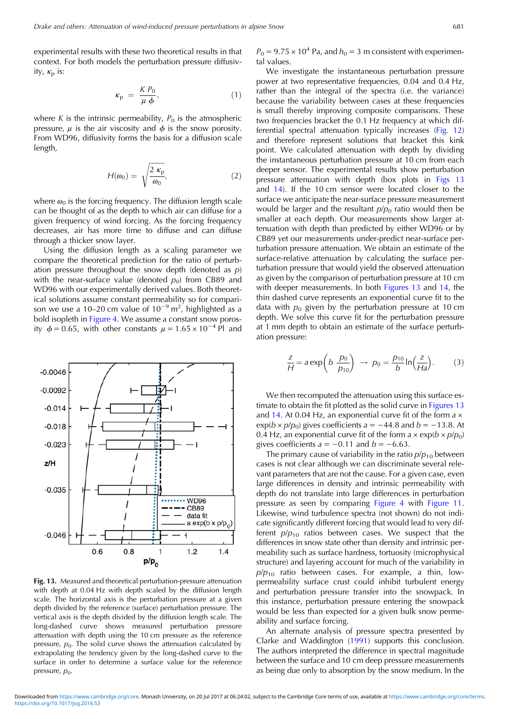<span id="page-7-0"></span>experimental results with these two theoretical results in that context. For both models the perturbation pressure diffusivity,  $\kappa_{\rm p}$  is:

$$
\kappa_{\rm p} = \frac{K P_0}{\mu \, \phi},\tag{1}
$$

where K is the intrinsic permeability,  $P_0$  is the atmospheric pressure,  $\mu$  is the air viscosity and  $\phi$  is the snow porosity. From WD96, diffusivity forms the basis for a diffusion scale length,

$$
H(\omega_0) = \sqrt{\frac{2 \ \kappa_{\rm p}}{\omega_0}},\tag{2}
$$

where  $\omega_0$  is the forcing frequency. The diffusion length scale can be thought of as the depth to which air can diffuse for a given frequency of wind forcing. As the forcing frequency decreases, air has more time to diffuse and can diffuse through a thicker snow layer.

Using the diffusion length as a scaling parameter we compare the theoretical prediction for the ratio of perturbation pressure throughout the snow depth (denoted as  $p$ ) with the near-surface value (denoted  $p_0$ ) from CB89 and WD96 with our experimentally derived values. Both theoretical solutions assume constant permeability so for comparison we use a 10–20 cm value of 10<sup>-9</sup> m<sup>2</sup>, highlighted as a bold isopleth in [Figure 4](#page-3-0). We assume a constant snow porosity  $\phi = 0.65$ , with other constants  $\mu = 1.65 \times 10^{-4}$  Pl and



Fig. 13. Measured and theoretical perturbation-pressure attenuation with depth at 0.04 Hz with depth scaled by the diffusion length scale. The horizontal axis is the perturbation pressure at a given depth divided by the reference (surface) perturbation pressure. The vertical axis is the depth divided by the diffusion length scale. The long-dashed curve shows measured perturbation pressure attenuation with depth using the 10 cm pressure as the reference pressure,  $p_0$ . The solid curve shows the attenuation calculated by extrapolating the tendency given by the long-dashed curve to the surface in order to determine a surface value for the reference pressure,  $p_0$ .

 $P_0 = 9.75 \times 10^4$  Pa, and  $h_0 = 3$  m consistent with experimental values.

We investigate the instantaneous perturbation pressure power at two representative frequencies, 0.04 and 0.4 Hz, rather than the integral of the spectra (i.e. the variance) because the variability between cases at these frequencies is small thereby improving composite comparisons. These two frequencies bracket the 0.1 Hz frequency at which differential spectral attenuation typically increases [\(Fig. 12\)](#page-6-0) and therefore represent solutions that bracket this kink point. We calculated attenuation with depth by dividing the instantaneous perturbation pressure at 10 cm from each deeper sensor. The experimental results show perturbation pressure attenuation with depth (box plots in Figs 13 and [14](#page-8-0)). If the 10 cm sensor were located closer to the surface we anticipate the near-surface pressure measurement would be larger and the resultant  $p/p_0$  ratio would then be smaller at each depth. Our measurements show larger attenuation with depth than predicted by either WD96 or by CB89 yet our measurements under-predict near-surface perturbation pressure attenuation. We obtain an estimate of the surface-relative attenuation by calculating the surface perturbation pressure that would yield the observed attenuation as given by the comparison of perturbation pressure at 10 cm with deeper measurements. In both Figures 13 and [14,](#page-8-0) the thin dashed curve represents an exponential curve fit to the data with  $p_0$  given by the perturbation pressure at 10 cm depth. We solve this curve fit for the perturbation pressure at 1 mm depth to obtain an estimate of the surface perturbation pressure:

$$
\frac{z}{H} = a \exp\left(b \frac{p_0}{p_{10}}\right) \rightarrow p_0 = \frac{p_{10}}{b} \ln\left(\frac{z}{Ha}\right). \tag{3}
$$

We then recomputed the attenuation using this surface estimate to obtain the fit plotted as the solid curve in Figures 13 and [14.](#page-8-0) At 0.04 Hz, an exponential curve fit of the form  $a \times a$  $\exp(b \times p/p_0)$  gives coefficients a = -44.8 and b = -13.8. At 0.4 Hz, an exponential curve fit of the form  $a \times \exp(b \times p/p_0)$ gives coefficients  $a = -0.11$  and  $b = -6.63$ .

The primary cause of variability in the ratio  $p/p_{10}$  between cases is not clear although we can discriminate several relevant parameters that are not the cause. For a given case, even large differences in density and intrinsic permeability with depth do not translate into large differences in perturbation pressure as seen by comparing [Figure 4](#page-3-0) with [Figure 11.](#page-6-0) Likewise, wind turbulence spectra (not shown) do not indicate significantly different forcing that would lead to very different  $p/p_{10}$  ratios between cases. We suspect that the differences in snow state other than density and intrinsic permeability such as surface hardness, tortuosity (microphysical structure) and layering account for much of the variability in  $p/p_{10}$  ratio between cases. For example, a thin, lowpermeability surface crust could inhibit turbulent energy and perturbation pressure transfer into the snowpack. In this instance, perturbation pressure entering the snowpack would be less than expected for a given bulk snow permeability and surface forcing.

An alternate analysis of pressure spectra presented by Clarke and Waddington [\(1991](#page-9-0)) supports this conclusion. The authors interpreted the difference in spectral magnitude between the surface and 10 cm deep pressure measurements as being due only to absorption by the snow medium. In the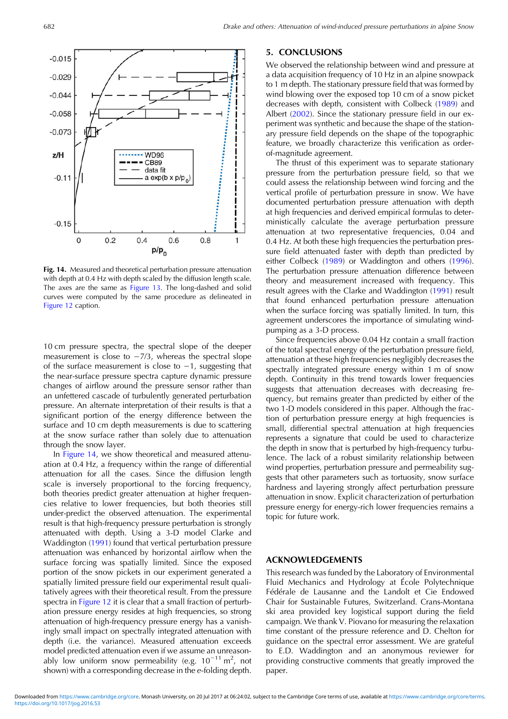<span id="page-8-0"></span>

Fig. 14. Measured and theoretical perturbation pressure attenuation with depth at 0.4 Hz with depth scaled by the diffusion length scale. The axes are the same as [Figure 13](#page-7-0). The long-dashed and solid curves were computed by the same procedure as delineated in [Figure 12](#page-6-0) caption.

10 cm pressure spectra, the spectral slope of the deeper measurement is close to  $-7/3$ , whereas the spectral slope of the surface measurement is close to −1, suggesting that the near-surface pressure spectra capture dynamic pressure changes of airflow around the pressure sensor rather than an unfettered cascade of turbulently generated perturbation pressure. An alternate interpretation of their results is that a significant portion of the energy difference between the surface and 10 cm depth measurements is due to scattering at the snow surface rather than solely due to attenuation through the snow layer.

In Figure 14, we show theoretical and measured attenuation at 0.4 Hz, a frequency within the range of differential attenuation for all the cases. Since the diffusion length scale is inversely proportional to the forcing frequency, both theories predict greater attenuation at higher frequencies relative to lower frequencies, but both theories still under-predict the observed attenuation. The experimental result is that high-frequency pressure perturbation is strongly attenuated with depth. Using a 3-D model Clarke and Waddington ([1991\)](#page-9-0) found that vertical perturbation pressure attenuation was enhanced by horizontal airflow when the surface forcing was spatially limited. Since the exposed portion of the snow pickets in our experiment generated a spatially limited pressure field our experimental result qualitatively agrees with their theoretical result. From the pressure spectra in [Figure 12](#page-6-0) it is clear that a small fraction of perturbation pressure energy resides at high frequencies, so strong attenuation of high-frequency pressure energy has a vanishingly small impact on spectrally integrated attenuation with depth (i.e. the variance). Measured attenuation exceeds model predicted attenuation even if we assume an unreasonably low uniform snow permeability (e.g.  $10^{-11}$  m<sup>2</sup>, not shown) with a corresponding decrease in the e-folding depth.

# 5. CONCLUSIONS

We observed the relationship between wind and pressure at a data acquisition frequency of 10 Hz in an alpine snowpack to 1 m depth. The stationary pressure field that was formed by wind blowing over the exposed top 10 cm of a snow picket decreases with depth, consistent with Colbeck ([1989\)](#page-9-0) and Albert [\(2002](#page-9-0)). Since the stationary pressure field in our experiment was synthetic and because the shape of the stationary pressure field depends on the shape of the topographic feature, we broadly characterize this verification as orderof-magnitude agreement.

The thrust of this experiment was to separate stationary pressure from the perturbation pressure field, so that we could assess the relationship between wind forcing and the vertical profile of perturbation pressure in snow. We have documented perturbation pressure attenuation with depth at high frequencies and derived empirical formulas to deterministically calculate the average perturbation pressure attenuation at two representative frequencies, 0.04 and 0.4 Hz. At both these high frequencies the perturbation pressure field attenuated faster with depth than predicted by either Colbeck ([1989\)](#page-9-0) or Waddington and others [\(1996](#page-9-0)). The perturbation pressure attenuation difference between theory and measurement increased with frequency. This result agrees with the Clarke and Waddington ([1991\)](#page-9-0) result that found enhanced perturbation pressure attenuation when the surface forcing was spatially limited. In turn, this agreement underscores the importance of simulating windpumping as a 3-D process.

Since frequencies above 0.04 Hz contain a small fraction of the total spectral energy of the perturbation pressure field, attenuation at these high frequencies negligibly decreases the spectrally integrated pressure energy within 1 m of snow depth. Continuity in this trend towards lower frequencies suggests that attenuation decreases with decreasing frequency, but remains greater than predicted by either of the two 1-D models considered in this paper. Although the fraction of perturbation pressure energy at high frequencies is small, differential spectral attenuation at high frequencies represents a signature that could be used to characterize the depth in snow that is perturbed by high-frequency turbulence. The lack of a robust similarity relationship between wind properties, perturbation pressure and permeability suggests that other parameters such as tortuosity, snow surface hardness and layering strongly affect perturbation pressure attenuation in snow. Explicit characterization of perturbation pressure energy for energy-rich lower frequencies remains a topic for future work.

## ACKNOWLEDGEMENTS

This research was funded by the Laboratory of Environmental Fluid Mechanics and Hydrology at École Polytechnique Fédérale de Lausanne and the Landolt et Cie Endowed Chair for Sustainable Futures, Switzerland. Crans-Montana ski area provided key logistical support during the field campaign. We thank V. Piovano for measuring the relaxation time constant of the pressure reference and D. Chelton for guidance on the spectral error assessment. We are grateful to E.D. Waddington and an anonymous reviewer for providing constructive comments that greatly improved the paper.